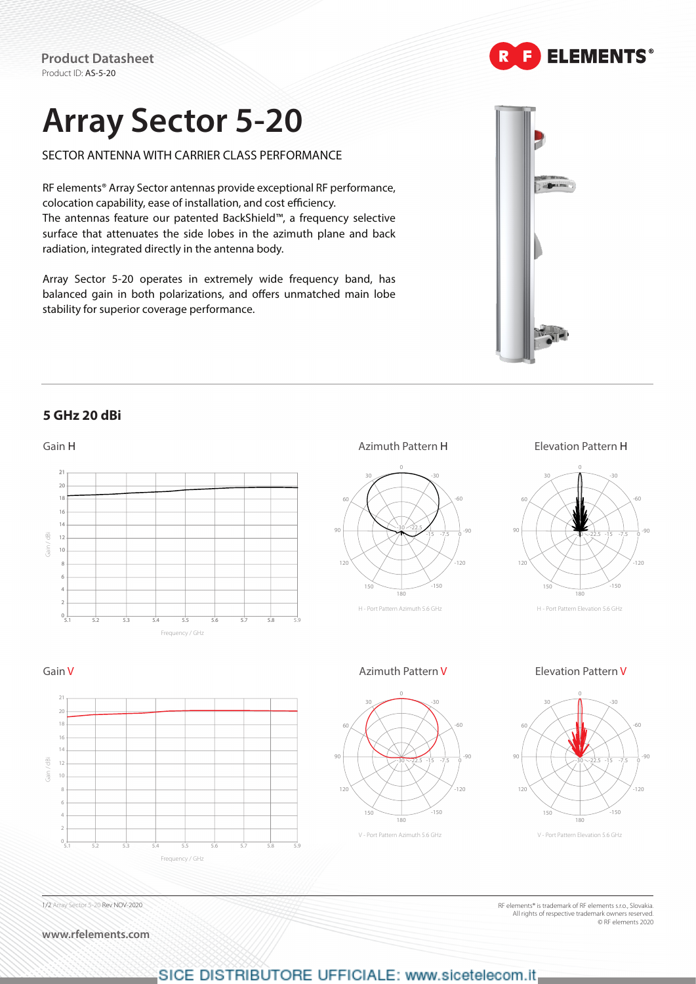**Product Datasheet** Product ID: AS-5-20

# **Array Sector 5-20**

SECTOR ANTENNA WITH CARRIER CLASS PERFORMANCE

RF elements® Array Sector antennas provide exceptional RF performance, colocation capability, ease of installation, and cost efficiency. The antennas feature our patented BackShield™, a frequency selective surface that attenuates the side lobes in the azimuth plane and back radiation, integrated directly in the antenna body.

Array Sector 5-20 operates in extremely wide frequency band, has balanced gain in both polarizations, and offers unmatched main lobe stability for superior coverage performance.

### **5 GHz 20 dBi**



SICE DISTRIBUTORE UFFICIALE: www.sicetelecom.it

1/2 Array Sector 5-20 Rev NOV-2020

**www.rfelements.com**



RF elements® is trademark of RF elements s.r.o., Slovakia. All rights of respective trademark owners reserved. © RF elements 2020



**ELEMENTS®**